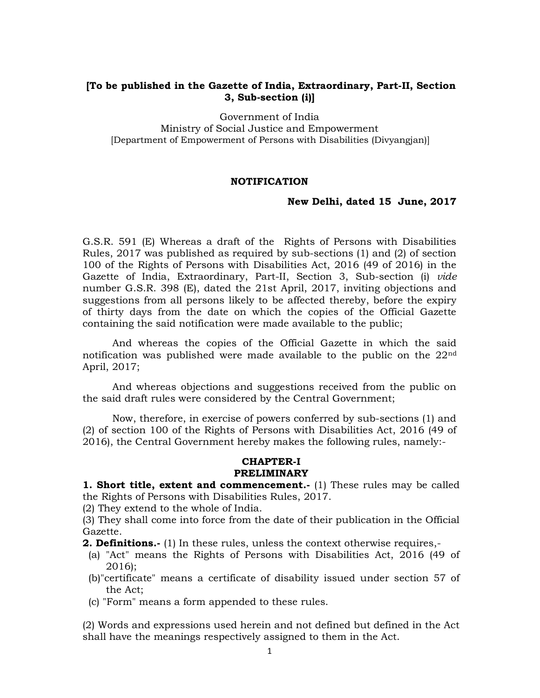#### [To be published in the Gazette of India, Extraordinary, Part-II, Section 3, Sub-section (i)]

Government of India

Ministry of Social Justice and Empowerment [Department of Empowerment of Persons with Disabilities (Divyangjan)]

#### NOTIFICATION

#### New Delhi, dated 15 June, 2017

G.S.R. 591 (E) Whereas a draft of the Rights of Persons with Disabilities Rules, 2017 was published as required by sub-sections (1) and (2) of section 100 of the Rights of Persons with Disabilities Act, 2016 (49 of 2016) in the Gazette of India, Extraordinary, Part-II, Section 3, Sub-section (i) vide number G.S.R. 398 (E), dated the 21st April, 2017, inviting objections and suggestions from all persons likely to be affected thereby, before the expiry of thirty days from the date on which the copies of the Official Gazette containing the said notification were made available to the public;

 And whereas the copies of the Official Gazette in which the said notification was published were made available to the public on the  $22<sup>nd</sup>$ April, 2017;

 And whereas objections and suggestions received from the public on the said draft rules were considered by the Central Government;

 Now, therefore, in exercise of powers conferred by sub-sections (1) and (2) of section 100 of the Rights of Persons with Disabilities Act, 2016 (49 of 2016), the Central Government hereby makes the following rules, namely:-

#### CHAPTER-I PRELIMINARY

1. Short title, extent and commencement.- (1) These rules may be called the Rights of Persons with Disabilities Rules, 2017.

(2) They extend to the whole of India.

(3) They shall come into force from the date of their publication in the Official Gazette.

**2. Definitions.**- (1) In these rules, unless the context otherwise requires,-

- (a) "Act" means the Rights of Persons with Disabilities Act, 2016 (49 of 2016);
- (b)"certificate" means a certificate of disability issued under section 57 of the Act;
- (c) "Form" means a form appended to these rules.

(2) Words and expressions used herein and not defined but defined in the Act shall have the meanings respectively assigned to them in the Act.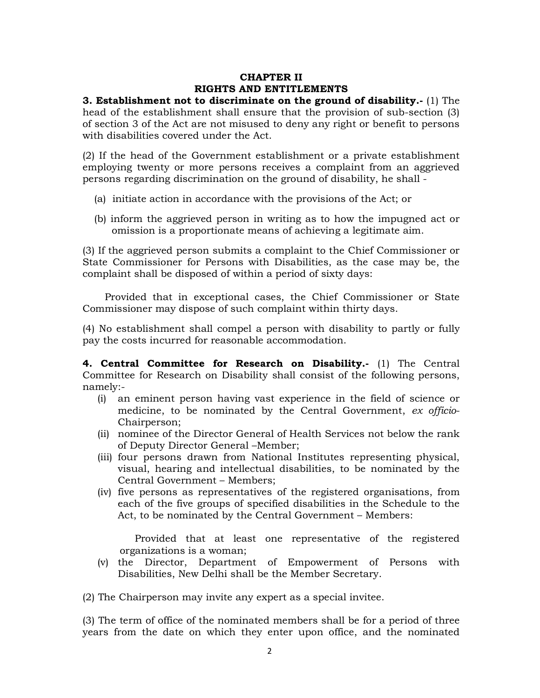# CHAPTER II RIGHTS AND ENTITLEMENTS

3. Establishment not to discriminate on the ground of disability.-  $(1)$  The head of the establishment shall ensure that the provision of sub-section (3) of section 3 of the Act are not misused to deny any right or benefit to persons with disabilities covered under the Act.

(2) If the head of the Government establishment or a private establishment employing twenty or more persons receives a complaint from an aggrieved persons regarding discrimination on the ground of disability, he shall -

- (a) initiate action in accordance with the provisions of the Act; or
- (b) inform the aggrieved person in writing as to how the impugned act or omission is a proportionate means of achieving a legitimate aim.

(3) If the aggrieved person submits a complaint to the Chief Commissioner or State Commissioner for Persons with Disabilities, as the case may be, the complaint shall be disposed of within a period of sixty days:

 Provided that in exceptional cases, the Chief Commissioner or State Commissioner may dispose of such complaint within thirty days.

(4) No establishment shall compel a person with disability to partly or fully pay the costs incurred for reasonable accommodation.

4. Central Committee for Research on Disability.- (1) The Central Committee for Research on Disability shall consist of the following persons, namely:-

- (i) an eminent person having vast experience in the field of science or medicine, to be nominated by the Central Government, ex officio-Chairperson;
- (ii) nominee of the Director General of Health Services not below the rank of Deputy Director General –Member;
- (iii) four persons drawn from National Institutes representing physical, visual, hearing and intellectual disabilities, to be nominated by the Central Government – Members;
- (iv) five persons as representatives of the registered organisations, from each of the five groups of specified disabilities in the Schedule to the Act, to be nominated by the Central Government – Members:

Provided that at least one representative of the registered organizations is a woman;

(v) the Director, Department of Empowerment of Persons with Disabilities, New Delhi shall be the Member Secretary.

(2) The Chairperson may invite any expert as a special invitee.

(3) The term of office of the nominated members shall be for a period of three years from the date on which they enter upon office, and the nominated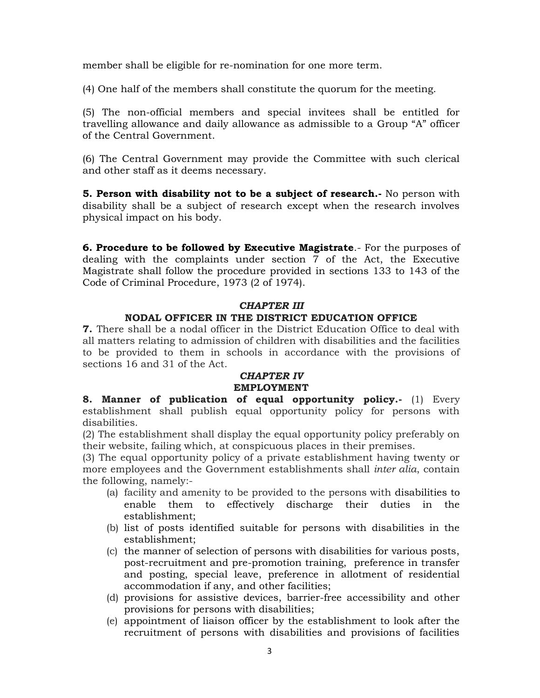member shall be eligible for re-nomination for one more term.

(4) One half of the members shall constitute the quorum for the meeting.

(5) The non-official members and special invitees shall be entitled for travelling allowance and daily allowance as admissible to a Group "A" officer of the Central Government.

(6) The Central Government may provide the Committee with such clerical and other staff as it deems necessary.

5. Person with disability not to be a subject of research. No person with disability shall be a subject of research except when the research involves physical impact on his body.

6. Procedure to be followed by Executive Magistrate.- For the purposes of dealing with the complaints under section 7 of the Act, the Executive Magistrate shall follow the procedure provided in sections 133 to 143 of the Code of Criminal Procedure, 1973 (2 of 1974).

#### CHAPTER III

#### NODAL OFFICER IN THE DISTRICT EDUCATION OFFICE

7. There shall be a nodal officer in the District Education Office to deal with all matters relating to admission of children with disabilities and the facilities to be provided to them in schools in accordance with the provisions of sections 16 and 31 of the Act.

#### CHAPTER IV EMPLOYMENT

8. Manner of publication of equal opportunity policy.- (1) Every establishment shall publish equal opportunity policy for persons with disabilities.

(2) The establishment shall display the equal opportunity policy preferably on their website, failing which, at conspicuous places in their premises.

(3) The equal opportunity policy of a private establishment having twenty or more employees and the Government establishments shall inter alia, contain the following, namely:-

- (a) facility and amenity to be provided to the persons with disabilities to enable them to effectively discharge their duties in the establishment;
- (b) list of posts identified suitable for persons with disabilities in the establishment;
- (c) the manner of selection of persons with disabilities for various posts, post-recruitment and pre-promotion training, preference in transfer and posting, special leave, preference in allotment of residential accommodation if any, and other facilities;
- (d) provisions for assistive devices, barrier-free accessibility and other provisions for persons with disabilities;
- (e) appointment of liaison officer by the establishment to look after the recruitment of persons with disabilities and provisions of facilities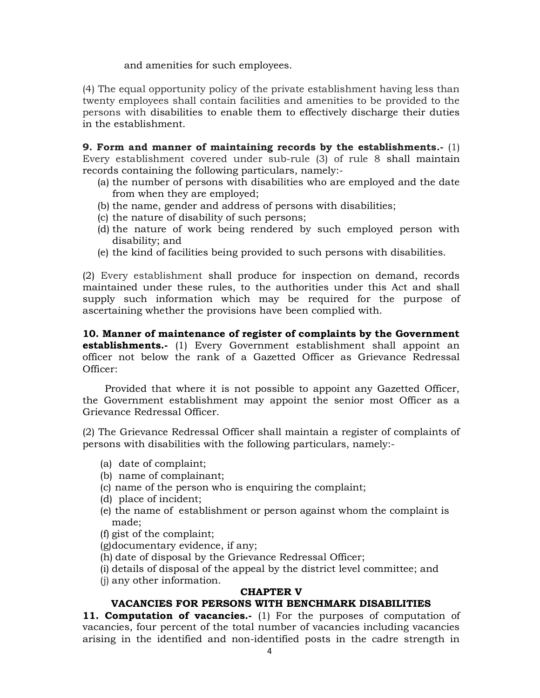and amenities for such employees.

(4) The equal opportunity policy of the private establishment having less than twenty employees shall contain facilities and amenities to be provided to the persons with disabilities to enable them to effectively discharge their duties in the establishment.

9. Form and manner of maintaining records by the establishments.- $(1)$ Every establishment covered under sub-rule (3) of rule 8 shall maintain records containing the following particulars, namely:-

- (a) the number of persons with disabilities who are employed and the date from when they are employed;
- (b) the name, gender and address of persons with disabilities;
- (c) the nature of disability of such persons;
- (d) the nature of work being rendered by such employed person with disability; and
- (e) the kind of facilities being provided to such persons with disabilities.

(2) Every establishment shall produce for inspection on demand, records maintained under these rules, to the authorities under this Act and shall supply such information which may be required for the purpose of ascertaining whether the provisions have been complied with.

10. Manner of maintenance of register of complaints by the Government **establishments.**- (1) Every Government establishment shall appoint an officer not below the rank of a Gazetted Officer as Grievance Redressal Officer:

Provided that where it is not possible to appoint any Gazetted Officer, the Government establishment may appoint the senior most Officer as a Grievance Redressal Officer.

(2) The Grievance Redressal Officer shall maintain a register of complaints of persons with disabilities with the following particulars, namely:-

- (a) date of complaint;
- (b) name of complainant;
- (c) name of the person who is enquiring the complaint;
- (d) place of incident;
- (e) the name of establishment or person against whom the complaint is made;
- (f) gist of the complaint;
- (g)documentary evidence, if any;
- (h) date of disposal by the Grievance Redressal Officer;
- (i) details of disposal of the appeal by the district level committee; and
- (j) any other information.

#### CHAPTER V

# VACANCIES FOR PERSONS WITH BENCHMARK DISABILITIES

11. Computation of vacancies.- (1) For the purposes of computation of vacancies, four percent of the total number of vacancies including vacancies arising in the identified and non-identified posts in the cadre strength in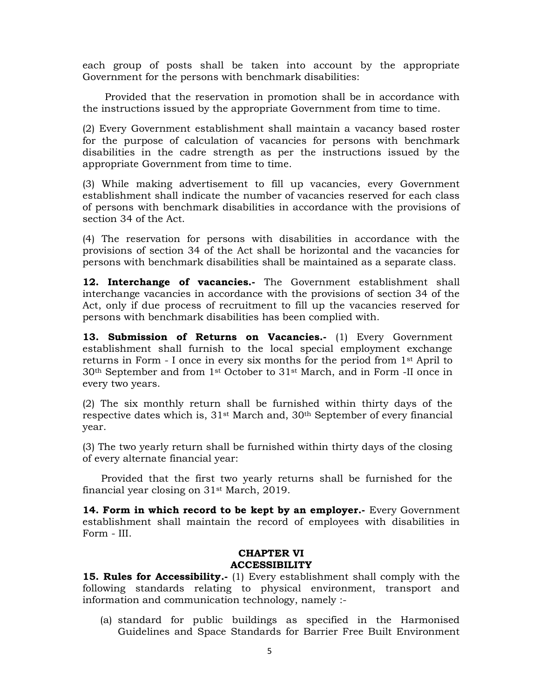each group of posts shall be taken into account by the appropriate Government for the persons with benchmark disabilities:

Provided that the reservation in promotion shall be in accordance with the instructions issued by the appropriate Government from time to time.

(2) Every Government establishment shall maintain a vacancy based roster for the purpose of calculation of vacancies for persons with benchmark disabilities in the cadre strength as per the instructions issued by the appropriate Government from time to time.

(3) While making advertisement to fill up vacancies, every Government establishment shall indicate the number of vacancies reserved for each class of persons with benchmark disabilities in accordance with the provisions of section 34 of the Act.

(4) The reservation for persons with disabilities in accordance with the provisions of section 34 of the Act shall be horizontal and the vacancies for persons with benchmark disabilities shall be maintained as a separate class.

12. Interchange of vacancies.- The Government establishment shall interchange vacancies in accordance with the provisions of section 34 of the Act, only if due process of recruitment to fill up the vacancies reserved for persons with benchmark disabilities has been complied with.

13. Submission of Returns on Vacancies.- (1) Every Government establishment shall furnish to the local special employment exchange returns in Form - I once in every six months for the period from 1st April to 30th September and from 1st October to 31st March, and in Form -II once in every two years.

(2) The six monthly return shall be furnished within thirty days of the respective dates which is, 31st March and, 30th September of every financial year.

(3) The two yearly return shall be furnished within thirty days of the closing of every alternate financial year:

Provided that the first two yearly returns shall be furnished for the financial year closing on 31st March, 2019.

14. Form in which record to be kept by an employer.- Every Government establishment shall maintain the record of employees with disabilities in Form - III.

#### CHAPTER VI ACCESSIBILITY

15. Rules for Accessibility.- (1) Every establishment shall comply with the following standards relating to physical environment, transport and information and communication technology, namely :-

(a) standard for public buildings as specified in the Harmonised Guidelines and Space Standards for Barrier Free Built Environment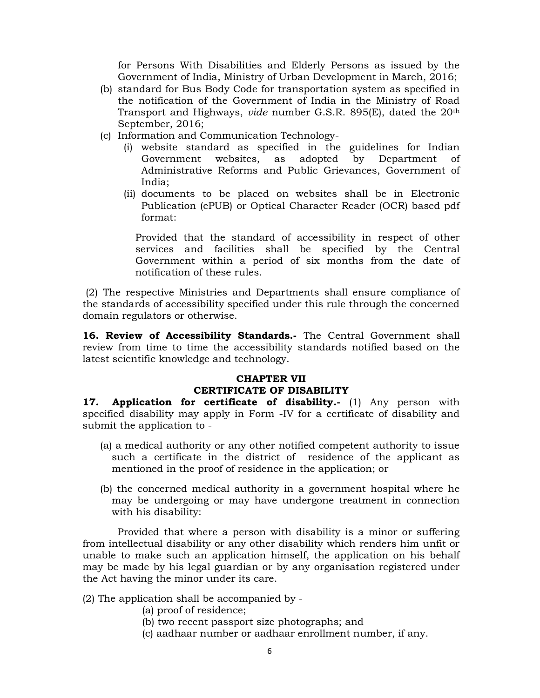for Persons With Disabilities and Elderly Persons as issued by the Government of India, Ministry of Urban Development in March, 2016;

- (b) standard for Bus Body Code for transportation system as specified in the notification of the Government of India in the Ministry of Road Transport and Highways, vide number G.S.R. 895(E), dated the 20th September, 2016;
- (c) Information and Communication Technology-
	- (i) website standard as specified in the guidelines for Indian Government websites, as adopted by Department of Administrative Reforms and Public Grievances, Government of India;
	- (ii) documents to be placed on websites shall be in Electronic Publication (ePUB) or Optical Character Reader (OCR) based pdf format:

Provided that the standard of accessibility in respect of other services and facilities shall be specified by the Central Government within a period of six months from the date of notification of these rules.

 (2) The respective Ministries and Departments shall ensure compliance of the standards of accessibility specified under this rule through the concerned domain regulators or otherwise.

16. Review of Accessibility Standards.- The Central Government shall review from time to time the accessibility standards notified based on the latest scientific knowledge and technology.

# CHAPTER VII CERTIFICATE OF DISABILITY

17. Application for certificate of disability.- (1) Any person with specified disability may apply in Form -IV for a certificate of disability and submit the application to -

- (a) a medical authority or any other notified competent authority to issue such a certificate in the district of residence of the applicant as mentioned in the proof of residence in the application; or
- (b) the concerned medical authority in a government hospital where he may be undergoing or may have undergone treatment in connection with his disability:

 Provided that where a person with disability is a minor or suffering from intellectual disability or any other disability which renders him unfit or unable to make such an application himself, the application on his behalf may be made by his legal guardian or by any organisation registered under the Act having the minor under its care.

- (2) The application shall be accompanied by
	- (a) proof of residence;
	- (b) two recent passport size photographs; and
	- (c) aadhaar number or aadhaar enrollment number, if any.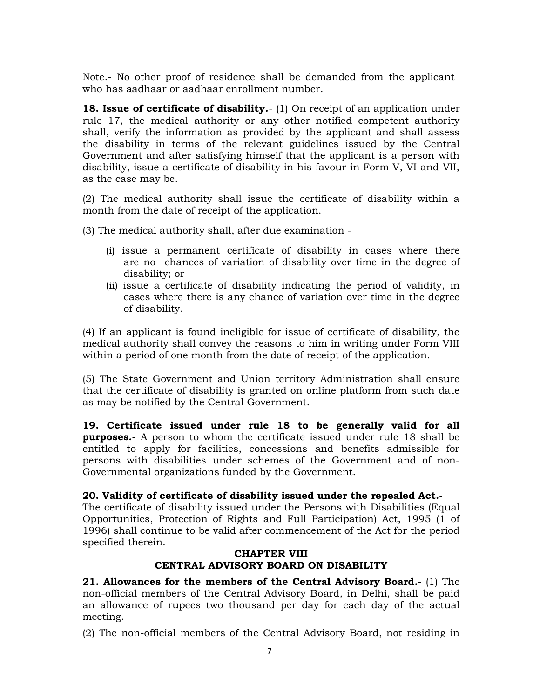Note.- No other proof of residence shall be demanded from the applicant who has aadhaar or aadhaar enrollment number.

18. Issue of certificate of disability.- (1) On receipt of an application under rule 17, the medical authority or any other notified competent authority shall, verify the information as provided by the applicant and shall assess the disability in terms of the relevant guidelines issued by the Central Government and after satisfying himself that the applicant is a person with disability, issue a certificate of disability in his favour in Form V, VI and VII, as the case may be.

(2) The medical authority shall issue the certificate of disability within a month from the date of receipt of the application.

(3) The medical authority shall, after due examination -

- (i) issue a permanent certificate of disability in cases where there are no chances of variation of disability over time in the degree of disability; or
- (ii) issue a certificate of disability indicating the period of validity, in cases where there is any chance of variation over time in the degree of disability.

(4) If an applicant is found ineligible for issue of certificate of disability, the medical authority shall convey the reasons to him in writing under Form VIII within a period of one month from the date of receipt of the application.

(5) The State Government and Union territory Administration shall ensure that the certificate of disability is granted on online platform from such date as may be notified by the Central Government.

19. Certificate issued under rule 18 to be generally valid for all **purposes.**- A person to whom the certificate issued under rule 18 shall be entitled to apply for facilities, concessions and benefits admissible for persons with disabilities under schemes of the Government and of non-Governmental organizations funded by the Government.

#### 20. Validity of certificate of disability issued under the repealed Act.-

The certificate of disability issued under the Persons with Disabilities (Equal Opportunities, Protection of Rights and Full Participation) Act, 1995 (1 of 1996) shall continue to be valid after commencement of the Act for the period specified therein.

#### CHAPTER VIII CENTRAL ADVISORY BOARD ON DISABILITY

21. Allowances for the members of the Central Advisory Board.- (1) The non-official members of the Central Advisory Board, in Delhi, shall be paid an allowance of rupees two thousand per day for each day of the actual meeting.

(2) The non-official members of the Central Advisory Board, not residing in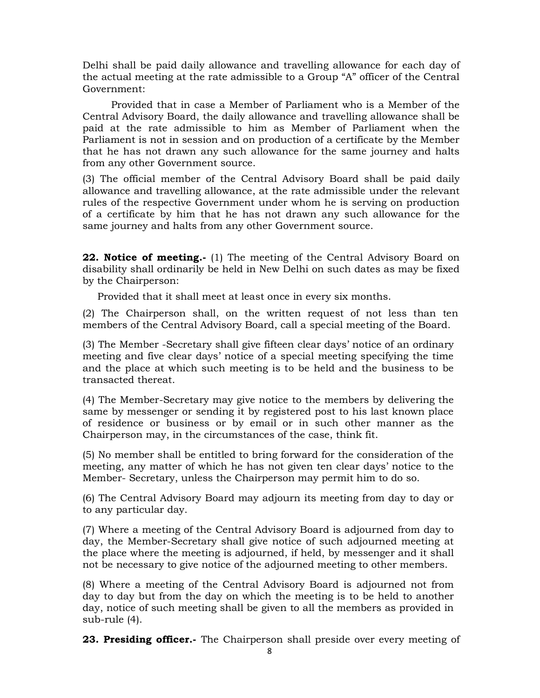Delhi shall be paid daily allowance and travelling allowance for each day of the actual meeting at the rate admissible to a Group "A" officer of the Central Government:

 Provided that in case a Member of Parliament who is a Member of the Central Advisory Board, the daily allowance and travelling allowance shall be paid at the rate admissible to him as Member of Parliament when the Parliament is not in session and on production of a certificate by the Member that he has not drawn any such allowance for the same journey and halts from any other Government source.

(3) The official member of the Central Advisory Board shall be paid daily allowance and travelling allowance, at the rate admissible under the relevant rules of the respective Government under whom he is serving on production of a certificate by him that he has not drawn any such allowance for the same journey and halts from any other Government source.

**22. Notice of meeting.**- (1) The meeting of the Central Advisory Board on disability shall ordinarily be held in New Delhi on such dates as may be fixed by the Chairperson:

Provided that it shall meet at least once in every six months.

(2) The Chairperson shall, on the written request of not less than ten members of the Central Advisory Board, call a special meeting of the Board.

(3) The Member -Secretary shall give fifteen clear days' notice of an ordinary meeting and five clear days' notice of a special meeting specifying the time and the place at which such meeting is to be held and the business to be transacted thereat.

(4) The Member-Secretary may give notice to the members by delivering the same by messenger or sending it by registered post to his last known place of residence or business or by email or in such other manner as the Chairperson may, in the circumstances of the case, think fit.

(5) No member shall be entitled to bring forward for the consideration of the meeting, any matter of which he has not given ten clear days' notice to the Member- Secretary, unless the Chairperson may permit him to do so.

(6) The Central Advisory Board may adjourn its meeting from day to day or to any particular day.

(7) Where a meeting of the Central Advisory Board is adjourned from day to day, the Member-Secretary shall give notice of such adjourned meeting at the place where the meeting is adjourned, if held, by messenger and it shall not be necessary to give notice of the adjourned meeting to other members.

(8) Where a meeting of the Central Advisory Board is adjourned not from day to day but from the day on which the meeting is to be held to another day, notice of such meeting shall be given to all the members as provided in sub-rule (4).

23. Presiding officer.- The Chairperson shall preside over every meeting of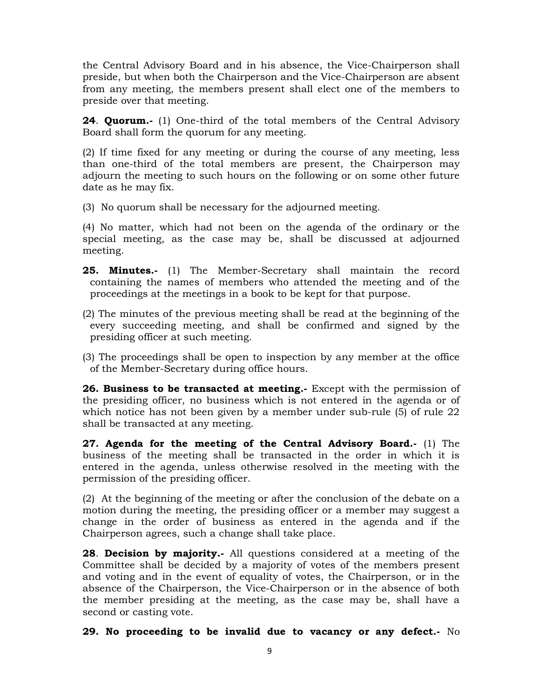the Central Advisory Board and in his absence, the Vice-Chairperson shall preside, but when both the Chairperson and the Vice-Chairperson are absent from any meeting, the members present shall elect one of the members to preside over that meeting.

**24. Quorum.**- (1) One-third of the total members of the Central Advisory Board shall form the quorum for any meeting.

(2) If time fixed for any meeting or during the course of any meeting, less than one-third of the total members are present, the Chairperson may adjourn the meeting to such hours on the following or on some other future date as he may fix.

(3) No quorum shall be necessary for the adjourned meeting.

(4) No matter, which had not been on the agenda of the ordinary or the special meeting, as the case may be, shall be discussed at adjourned meeting.

- 25. Minutes.- (1) The Member-Secretary shall maintain the record containing the names of members who attended the meeting and of the proceedings at the meetings in a book to be kept for that purpose.
- (2) The minutes of the previous meeting shall be read at the beginning of the every succeeding meeting, and shall be confirmed and signed by the presiding officer at such meeting.
- (3) The proceedings shall be open to inspection by any member at the office of the Member-Secretary during office hours.

26. Business to be transacted at meeting. Except with the permission of the presiding officer, no business which is not entered in the agenda or of which notice has not been given by a member under sub-rule (5) of rule 22 shall be transacted at any meeting.

27. Agenda for the meeting of the Central Advisory Board.- (1) The business of the meeting shall be transacted in the order in which it is entered in the agenda, unless otherwise resolved in the meeting with the permission of the presiding officer.

(2) At the beginning of the meeting or after the conclusion of the debate on a motion during the meeting, the presiding officer or a member may suggest a change in the order of business as entered in the agenda and if the Chairperson agrees, such a change shall take place.

**28. Decision by majority.** All questions considered at a meeting of the Committee shall be decided by a majority of votes of the members present and voting and in the event of equality of votes, the Chairperson, or in the absence of the Chairperson, the Vice-Chairperson or in the absence of both the member presiding at the meeting, as the case may be, shall have a second or casting vote.

29. No proceeding to be invalid due to vacancy or any defect.- No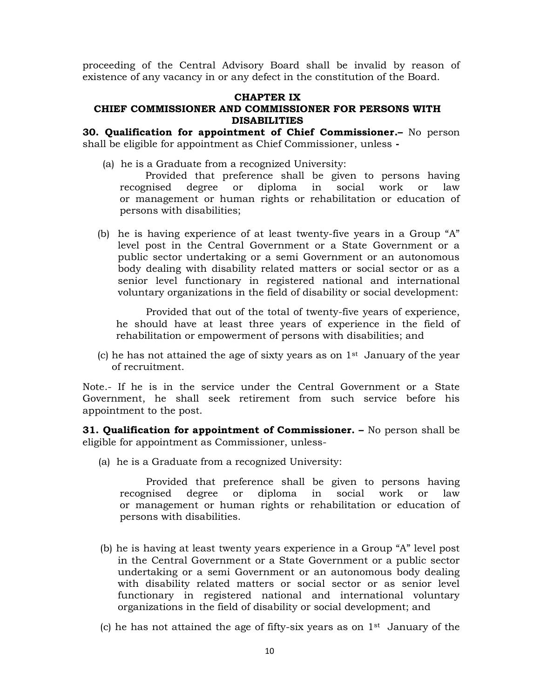proceeding of the Central Advisory Board shall be invalid by reason of existence of any vacancy in or any defect in the constitution of the Board.

#### CHAPTER IX

#### CHIEF COMMISSIONER AND COMMISSIONER FOR PERSONS WITH DISABILITIES

**30. Qualification for appointment of Chief Commissioner.** No person shall be eligible for appointment as Chief Commissioner, unless -

(a) he is a Graduate from a recognized University:

 Provided that preference shall be given to persons having recognised degree or diploma in social work or law or management or human rights or rehabilitation or education of persons with disabilities;

(b) he is having experience of at least twenty-five years in a Group "A" level post in the Central Government or a State Government or a public sector undertaking or a semi Government or an autonomous body dealing with disability related matters or social sector or as a senior level functionary in registered national and international voluntary organizations in the field of disability or social development:

Provided that out of the total of twenty-five years of experience, he should have at least three years of experience in the field of rehabilitation or empowerment of persons with disabilities; and

(c) he has not attained the age of sixty years as on  $1<sup>st</sup>$  January of the year of recruitment.

Note.- If he is in the service under the Central Government or a State Government, he shall seek retirement from such service before his appointment to the post.

**31. Qualification for appointment of Commissioner.**  $-$  No person shall be eligible for appointment as Commissioner, unless-

(a) he is a Graduate from a recognized University:

Provided that preference shall be given to persons having recognised degree or diploma in social work or law or management or human rights or rehabilitation or education of persons with disabilities.

- (b) he is having at least twenty years experience in a Group "A" level post in the Central Government or a State Government or a public sector undertaking or a semi Government or an autonomous body dealing with disability related matters or social sector or as senior level functionary in registered national and international voluntary organizations in the field of disability or social development; and
- (c) he has not attained the age of fifty-six years as on  $1<sup>st</sup>$  January of the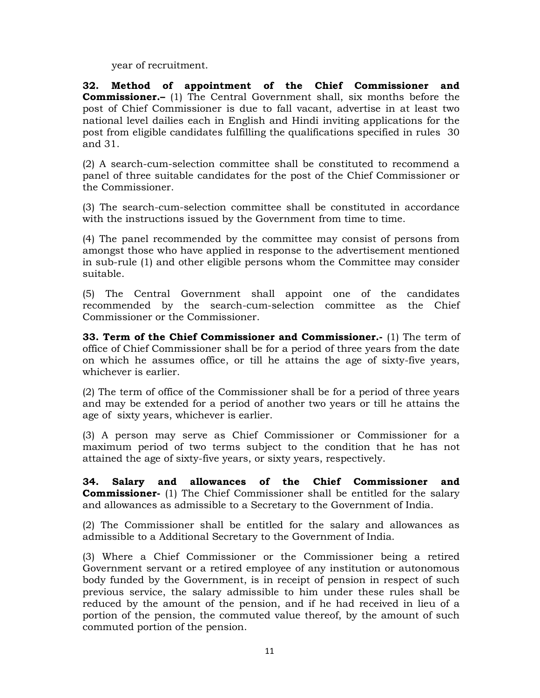year of recruitment.

32. Method of appointment of the Chief Commissioner and Commissioner.– (1) The Central Government shall, six months before the post of Chief Commissioner is due to fall vacant, advertise in at least two national level dailies each in English and Hindi inviting applications for the post from eligible candidates fulfilling the qualifications specified in rules 30 and 31.

(2) A search-cum-selection committee shall be constituted to recommend a panel of three suitable candidates for the post of the Chief Commissioner or the Commissioner.

(3) The search-cum-selection committee shall be constituted in accordance with the instructions issued by the Government from time to time.

(4) The panel recommended by the committee may consist of persons from amongst those who have applied in response to the advertisement mentioned in sub-rule (1) and other eligible persons whom the Committee may consider suitable.

(5) The Central Government shall appoint one of the candidates recommended by the search-cum-selection committee as the Chief Commissioner or the Commissioner.

33. Term of the Chief Commissioner and Commissioner. $-$  (1) The term of office of Chief Commissioner shall be for a period of three years from the date on which he assumes office, or till he attains the age of sixty-five years, whichever is earlier.

(2) The term of office of the Commissioner shall be for a period of three years and may be extended for a period of another two years or till he attains the age of sixty years, whichever is earlier.

(3) A person may serve as Chief Commissioner or Commissioner for a maximum period of two terms subject to the condition that he has not attained the age of sixty-five years, or sixty years, respectively.

34. Salary and allowances of the Chief Commissioner and Commissioner- (1) The Chief Commissioner shall be entitled for the salary and allowances as admissible to a Secretary to the Government of India.

(2) The Commissioner shall be entitled for the salary and allowances as admissible to a Additional Secretary to the Government of India.

(3) Where a Chief Commissioner or the Commissioner being a retired Government servant or a retired employee of any institution or autonomous body funded by the Government, is in receipt of pension in respect of such previous service, the salary admissible to him under these rules shall be reduced by the amount of the pension, and if he had received in lieu of a portion of the pension, the commuted value thereof, by the amount of such commuted portion of the pension.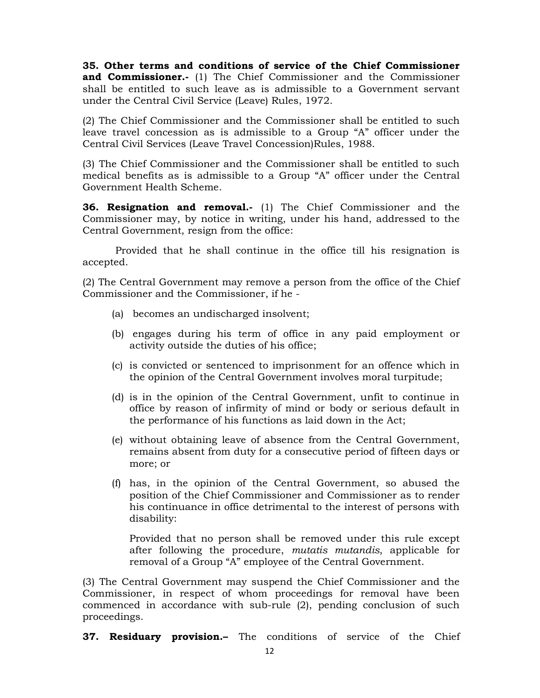35. Other terms and conditions of service of the Chief Commissioner and Commissioner.- (1) The Chief Commissioner and the Commissioner shall be entitled to such leave as is admissible to a Government servant under the Central Civil Service (Leave) Rules, 1972.

(2) The Chief Commissioner and the Commissioner shall be entitled to such leave travel concession as is admissible to a Group "A" officer under the Central Civil Services (Leave Travel Concession)Rules, 1988.

(3) The Chief Commissioner and the Commissioner shall be entitled to such medical benefits as is admissible to a Group "A" officer under the Central Government Health Scheme.

**36. Resignation and removal.-** (1) The Chief Commissioner and the Commissioner may, by notice in writing, under his hand, addressed to the Central Government, resign from the office:

 Provided that he shall continue in the office till his resignation is accepted.

(2) The Central Government may remove a person from the office of the Chief Commissioner and the Commissioner, if he -

- (a) becomes an undischarged insolvent;
- (b) engages during his term of office in any paid employment or activity outside the duties of his office;
- (c) is convicted or sentenced to imprisonment for an offence which in the opinion of the Central Government involves moral turpitude;
- (d) is in the opinion of the Central Government, unfit to continue in office by reason of infirmity of mind or body or serious default in the performance of his functions as laid down in the Act;
- (e) without obtaining leave of absence from the Central Government, remains absent from duty for a consecutive period of fifteen days or more; or
- (f) has, in the opinion of the Central Government, so abused the position of the Chief Commissioner and Commissioner as to render his continuance in office detrimental to the interest of persons with disability:

Provided that no person shall be removed under this rule except after following the procedure, mutatis mutandis, applicable for removal of a Group "A" employee of the Central Government.

(3) The Central Government may suspend the Chief Commissioner and the Commissioner, in respect of whom proceedings for removal have been commenced in accordance with sub-rule (2), pending conclusion of such proceedings.

37. Residuary provision.- The conditions of service of the Chief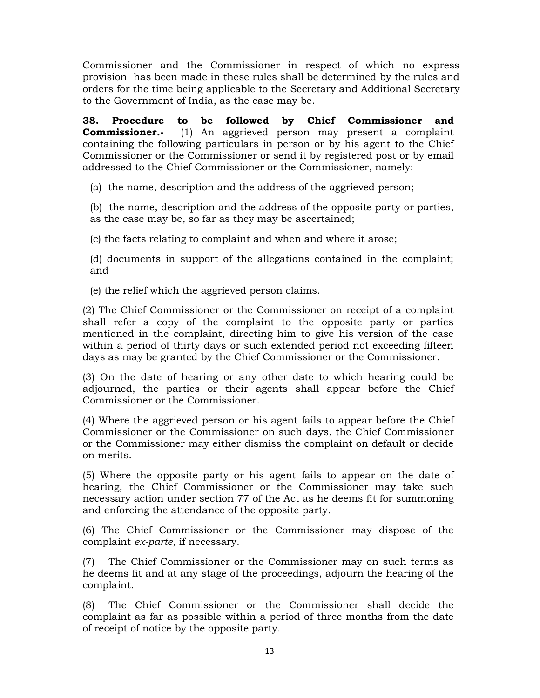Commissioner and the Commissioner in respect of which no express provision has been made in these rules shall be determined by the rules and orders for the time being applicable to the Secretary and Additional Secretary to the Government of India, as the case may be.

38. Procedure to be followed by Chief Commissioner and **Commissioner.** (1) An aggrieved person may present a complaint containing the following particulars in person or by his agent to the Chief Commissioner or the Commissioner or send it by registered post or by email addressed to the Chief Commissioner or the Commissioner, namely:-

(a) the name, description and the address of the aggrieved person;

 (b) the name, description and the address of the opposite party or parties, as the case may be, so far as they may be ascertained;

(c) the facts relating to complaint and when and where it arose;

 (d) documents in support of the allegations contained in the complaint; and

(e) the relief which the aggrieved person claims.

(2) The Chief Commissioner or the Commissioner on receipt of a complaint shall refer a copy of the complaint to the opposite party or parties mentioned in the complaint, directing him to give his version of the case within a period of thirty days or such extended period not exceeding fifteen days as may be granted by the Chief Commissioner or the Commissioner.

(3) On the date of hearing or any other date to which hearing could be adjourned, the parties or their agents shall appear before the Chief Commissioner or the Commissioner.

(4) Where the aggrieved person or his agent fails to appear before the Chief Commissioner or the Commissioner on such days, the Chief Commissioner or the Commissioner may either dismiss the complaint on default or decide on merits.

(5) Where the opposite party or his agent fails to appear on the date of hearing, the Chief Commissioner or the Commissioner may take such necessary action under section 77 of the Act as he deems fit for summoning and enforcing the attendance of the opposite party.

(6) The Chief Commissioner or the Commissioner may dispose of the complaint ex-parte, if necessary.

(7) The Chief Commissioner or the Commissioner may on such terms as he deems fit and at any stage of the proceedings, adjourn the hearing of the complaint.

(8) The Chief Commissioner or the Commissioner shall decide the complaint as far as possible within a period of three months from the date of receipt of notice by the opposite party.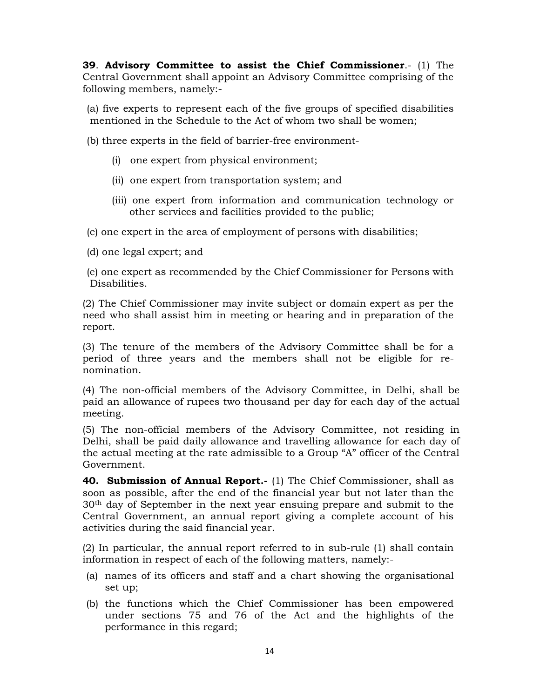39. Advisory Committee to assist the Chief Commissioner. $-$  (1) The Central Government shall appoint an Advisory Committee comprising of the following members, namely:-

(a) five experts to represent each of the five groups of specified disabilities mentioned in the Schedule to the Act of whom two shall be women;

(b) three experts in the field of barrier-free environment-

- (i) one expert from physical environment;
- (ii) one expert from transportation system; and
- (iii) one expert from information and communication technology or other services and facilities provided to the public;

(c) one expert in the area of employment of persons with disabilities;

(d) one legal expert; and

(e) one expert as recommended by the Chief Commissioner for Persons with Disabilities.

(2) The Chief Commissioner may invite subject or domain expert as per the need who shall assist him in meeting or hearing and in preparation of the report.

(3) The tenure of the members of the Advisory Committee shall be for a period of three years and the members shall not be eligible for renomination.

(4) The non-official members of the Advisory Committee, in Delhi, shall be paid an allowance of rupees two thousand per day for each day of the actual meeting.

(5) The non-official members of the Advisory Committee, not residing in Delhi, shall be paid daily allowance and travelling allowance for each day of the actual meeting at the rate admissible to a Group "A" officer of the Central Government.

**40. Submission of Annual Report.**- (1) The Chief Commissioner, shall as soon as possible, after the end of the financial year but not later than the 30th day of September in the next year ensuing prepare and submit to the Central Government, an annual report giving a complete account of his activities during the said financial year.

(2) In particular, the annual report referred to in sub-rule (1) shall contain information in respect of each of the following matters, namely:-

- (a) names of its officers and staff and a chart showing the organisational set up;
- (b) the functions which the Chief Commissioner has been empowered under sections 75 and 76 of the Act and the highlights of the performance in this regard;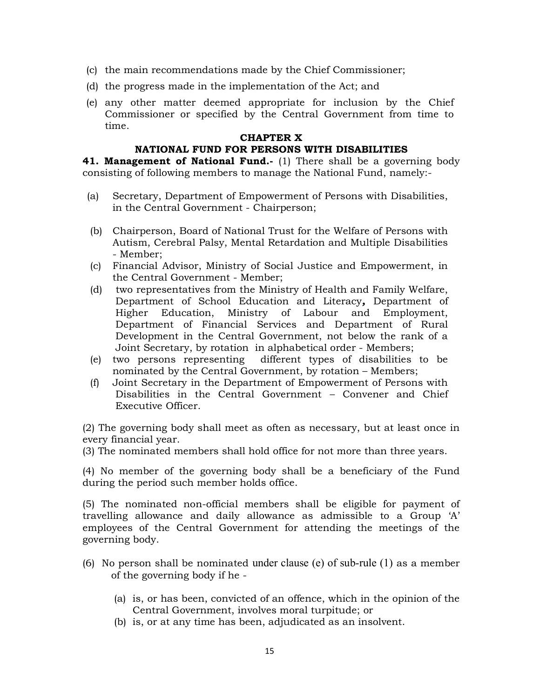- (c) the main recommendations made by the Chief Commissioner;
- (d) the progress made in the implementation of the Act; and
- (e) any other matter deemed appropriate for inclusion by the Chief Commissioner or specified by the Central Government from time to time.

#### CHAPTER X

#### NATIONAL FUND FOR PERSONS WITH DISABILITIES

41. Management of National Fund.- (1) There shall be a governing body consisting of following members to manage the National Fund, namely:-

- (a) Secretary, Department of Empowerment of Persons with Disabilities, in the Central Government - Chairperson;
- (b) Chairperson, Board of National Trust for the Welfare of Persons with Autism, Cerebral Palsy, Mental Retardation and Multiple Disabilities - Member;
- (c) Financial Advisor, Ministry of Social Justice and Empowerment, in the Central Government - Member;
- (d) two representatives from the Ministry of Health and Family Welfare, Department of School Education and Literacy, Department of Higher Education, Ministry of Labour and Employment, Department of Financial Services and Department of Rural Development in the Central Government, not below the rank of a Joint Secretary, by rotation in alphabetical order - Members;<br>(e) two persons representing different types of disabilities
- different types of disabilities to be nominated by the Central Government, by rotation – Members;
- (f) Joint Secretary in the Department of Empowerment of Persons with Disabilities in the Central Government – Convener and Chief Executive Officer.

(2) The governing body shall meet as often as necessary, but at least once in every financial year.

(3) The nominated members shall hold office for not more than three years.

(4) No member of the governing body shall be a beneficiary of the Fund during the period such member holds office.

(5) The nominated non-official members shall be eligible for payment of travelling allowance and daily allowance as admissible to a Group 'A' employees of the Central Government for attending the meetings of the governing body.

- (6) No person shall be nominated under clause (e) of sub-rule (1) as a member of the governing body if he -
	- (a) is, or has been, convicted of an offence, which in the opinion of the Central Government, involves moral turpitude; or
	- (b) is, or at any time has been, adjudicated as an insolvent.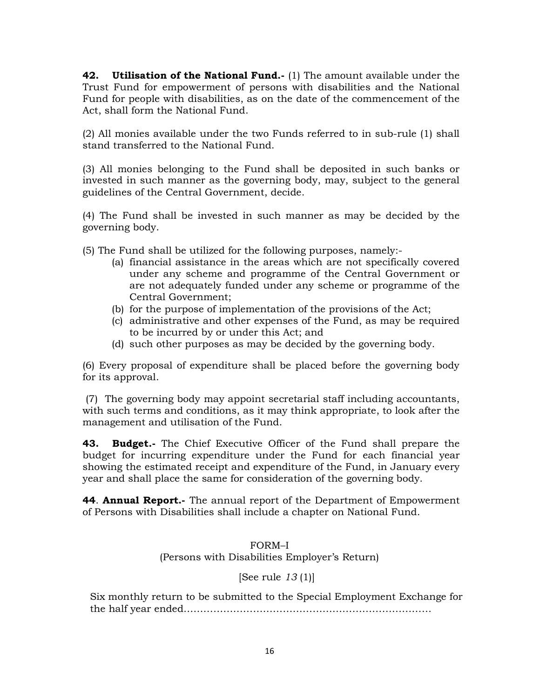42. Utilisation of the National Fund.- (1) The amount available under the Trust Fund for empowerment of persons with disabilities and the National Fund for people with disabilities, as on the date of the commencement of the Act, shall form the National Fund.

(2) All monies available under the two Funds referred to in sub-rule (1) shall stand transferred to the National Fund.

(3) All monies belonging to the Fund shall be deposited in such banks or invested in such manner as the governing body, may, subject to the general guidelines of the Central Government, decide.

(4) The Fund shall be invested in such manner as may be decided by the governing body.

(5) The Fund shall be utilized for the following purposes, namely:-

- (a) financial assistance in the areas which are not specifically covered under any scheme and programme of the Central Government or are not adequately funded under any scheme or programme of the Central Government;
- (b) for the purpose of implementation of the provisions of the Act;
- (c) administrative and other expenses of the Fund, as may be required to be incurred by or under this Act; and
- (d) such other purposes as may be decided by the governing body.

(6) Every proposal of expenditure shall be placed before the governing body for its approval.

 (7) The governing body may appoint secretarial staff including accountants, with such terms and conditions, as it may think appropriate, to look after the management and utilisation of the Fund.

43. Budget.- The Chief Executive Officer of the Fund shall prepare the budget for incurring expenditure under the Fund for each financial year showing the estimated receipt and expenditure of the Fund, in January every year and shall place the same for consideration of the governing body.

**44. Annual Report.-** The annual report of the Department of Empowerment of Persons with Disabilities shall include a chapter on National Fund.

#### FORM–I (Persons with Disabilities Employer's Return)

# [See rule  $13(1)$ ]

Six monthly return to be submitted to the Special Employment Exchange for the half year ended…………………………………………………………………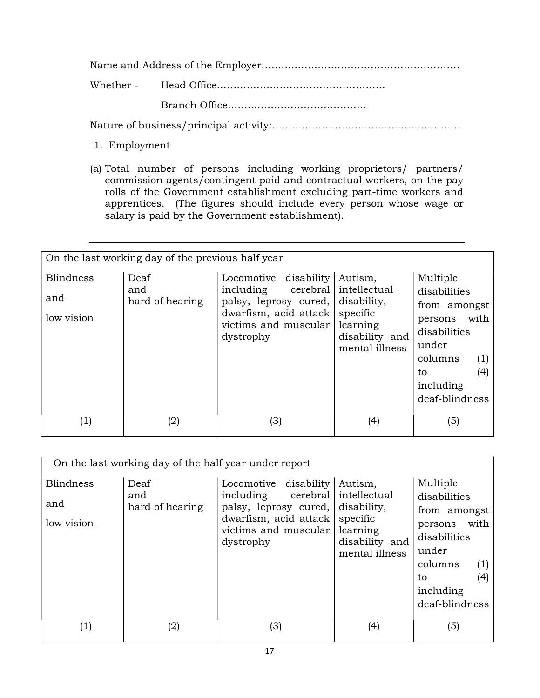Name and Address of the Employer……………………………………………………

Whether - Head Office…………………………………………… Branch Office……………………………………

Nature of business/principal activity:…………………………………………………

- 1. Employment
- (a) Total number of persons including working proprietors/ partners/ commission agents/contingent paid and contractual workers, on the pay rolls of the Government establishment excluding part-time workers and apprentices. (The figures should include every person whose wage or salary is paid by the Government establishment).

| On the last working day of the previous half year |                                |                                                                                                                                          |                                                                                                    |                                                                                                                                                    |  |  |
|---------------------------------------------------|--------------------------------|------------------------------------------------------------------------------------------------------------------------------------------|----------------------------------------------------------------------------------------------------|----------------------------------------------------------------------------------------------------------------------------------------------------|--|--|
| <b>Blindness</b><br>and<br>low vision             | Deaf<br>and<br>hard of hearing | disability<br>Locomotive<br>cerebral<br>including<br>palsy, leprosy cured,<br>dwarfism, acid attack<br>victims and muscular<br>dystrophy | Autism,<br>intellectual<br>disability,<br>specific<br>learning<br>disability and<br>mental illness | Multiple<br>disabilities<br>from amongst<br>with<br>persons<br>disabilities<br>under<br>columns<br>(1)<br>(4)<br>to<br>including<br>deaf-blindness |  |  |
| (1)                                               | (2)                            | (3)                                                                                                                                      | (4)                                                                                                | (5)                                                                                                                                                |  |  |

| On the last working day of the half year under report |                                |                                                                                                                                          |                                                                                                    |                                                                                                                                                    |  |  |  |
|-------------------------------------------------------|--------------------------------|------------------------------------------------------------------------------------------------------------------------------------------|----------------------------------------------------------------------------------------------------|----------------------------------------------------------------------------------------------------------------------------------------------------|--|--|--|
| <b>Blindness</b><br>and<br>low vision                 | Deaf<br>and<br>hard of hearing | disability<br>Locomotive<br>including<br>cerebral<br>palsy, leprosy cured,<br>dwarfism, acid attack<br>victims and muscular<br>dystrophy | Autism,<br>intellectual<br>disability,<br>specific<br>learning<br>disability and<br>mental illness | Multiple<br>disabilities<br>from amongst<br>with<br>persons<br>disabilities<br>under<br>columns<br>(1)<br>(4)<br>to<br>including<br>deaf-blindness |  |  |  |
| $\left( 1\right)$                                     | (2)                            | (3)                                                                                                                                      | (4)                                                                                                | (5)                                                                                                                                                |  |  |  |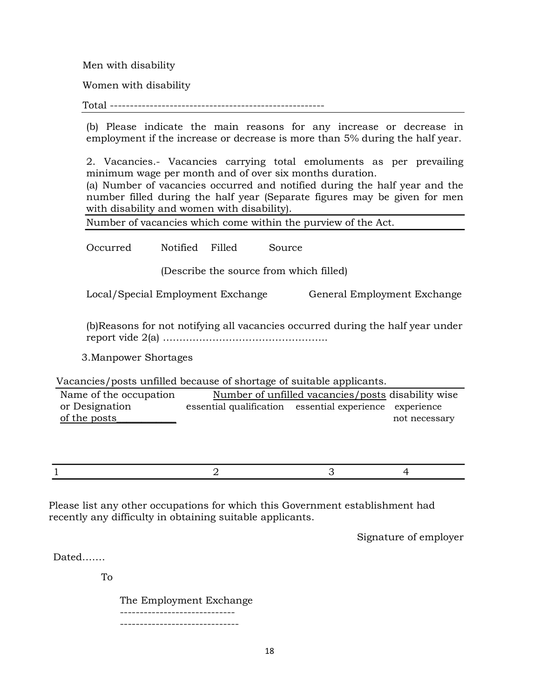Men with disability

Women with disability

Total ------------------------------------------------------

(b) Please indicate the main reasons for any increase or decrease in employment if the increase or decrease is more than 5% during the half year.

2. Vacancies.- Vacancies carrying total emoluments as per prevailing minimum wage per month and of over six months duration.

(a) Number of vacancies occurred and notified during the half year and the number filled during the half year (Separate figures may be given for men with disability and women with disability).

Number of vacancies which come within the purview of the Act.

Occurred Notified Filled Source

(Describe the source from which filled)

Local/Special Employment Exchange General Employment Exchange

(b)Reasons for not notifying all vacancies occurred during the half year under report vide 2(a) …………………………………………..

3.Manpower Shortages

Vacancies/posts unfilled because of shortage of suitable applicants.

Name of the occupation Number of unfilled vacancies/posts disability wise or Designation essential qualification essential experience experience of the posts example of the posts example of the posts example of the posts example of the posts example of the posts example of the posts example of the posts example of the posts example of the posts example of the posts

 $1$  and  $2$  3 4

Please list any other occupations for which this Government establishment had recently any difficulty in obtaining suitable applicants.

Signature of employer

Dated…….

To

 The Employment Exchange ----------------------------- ------------------------------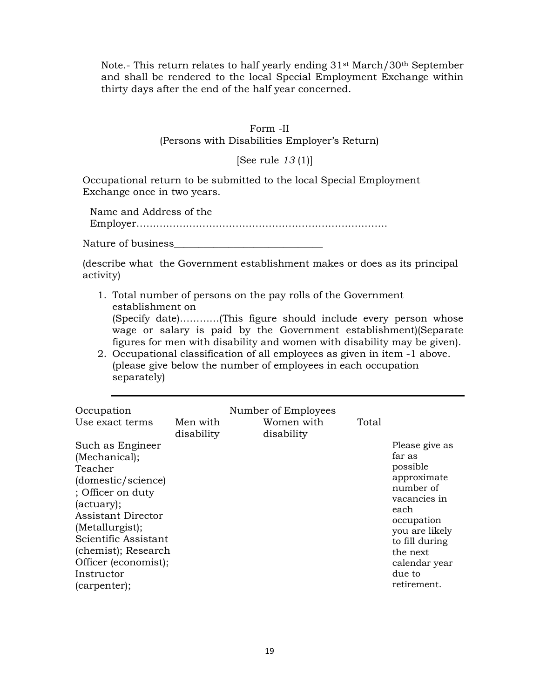Note.- This return relates to half yearly ending 31st March/30th September and shall be rendered to the local Special Employment Exchange within thirty days after the end of the half year concerned.

#### Form -II (Persons with Disabilities Employer's Return)

[See rule 13 (1)]

Occupational return to be submitted to the local Special Employment Exchange once in two years.

Name and Address of the Employer………………………………………………………………….

Nature of business

(describe what the Government establishment makes or does as its principal activity)

1. Total number of persons on the pay rolls of the Government establishment on

(Specify date)…………(This figure should include every person whose wage or salary is paid by the Government establishment)(Separate figures for men with disability and women with disability may be given).

2. Occupational classification of all employees as given in item -1 above. (please give below the number of employees in each occupation separately)

| Occupation<br>Use exact terms                                                                                                                                                                                                                       | Men with   | Number of Employees<br>Women with | Total |                                                                                                                                                                                                  |
|-----------------------------------------------------------------------------------------------------------------------------------------------------------------------------------------------------------------------------------------------------|------------|-----------------------------------|-------|--------------------------------------------------------------------------------------------------------------------------------------------------------------------------------------------------|
| Such as Engineer<br>(Mechanical);<br>Teacher<br>(domestic/science)<br>; Officer on duty<br>(actuary);<br>Assistant Director<br>(Metallurgist);<br>Scientific Assistant<br>(chemist); Research<br>Officer (economist);<br>Instructor<br>(carpenter); | disability | disability                        |       | Please give as<br>far as<br>possible<br>approximate<br>number of<br>vacancies in<br>each<br>occupation<br>you are likely<br>to fill during<br>the next<br>calendar year<br>due to<br>retirement. |
|                                                                                                                                                                                                                                                     |            |                                   |       |                                                                                                                                                                                                  |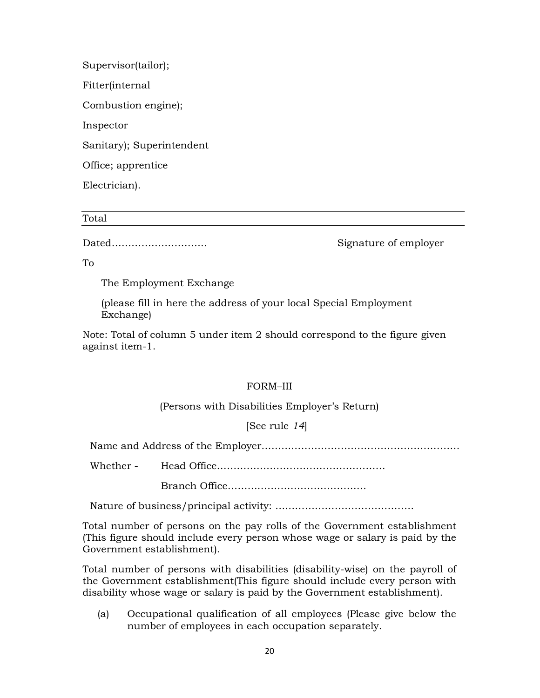Supervisor(tailor); Fitter(internal Combustion engine); Inspector Sanitary); Superintendent Office; apprentice Electrician).

Total

Dated……………………….. Signature of employer

To

The Employment Exchange

(please fill in here the address of your local Special Employment Exchange)

Note: Total of column 5 under item 2 should correspond to the figure given against item-1.

# FORM–III

# (Persons with Disabilities Employer's Return)

# [See rule 14]

Name and Address of the Employer……………………………………………………

Whether - Head Office……………………………………………

Branch Office……………………………………

Nature of business/principal activity: ……………………………………

Total number of persons on the pay rolls of the Government establishment (This figure should include every person whose wage or salary is paid by the Government establishment).

Total number of persons with disabilities (disability-wise) on the payroll of the Government establishment(This figure should include every person with disability whose wage or salary is paid by the Government establishment).

(a) Occupational qualification of all employees (Please give below the number of employees in each occupation separately.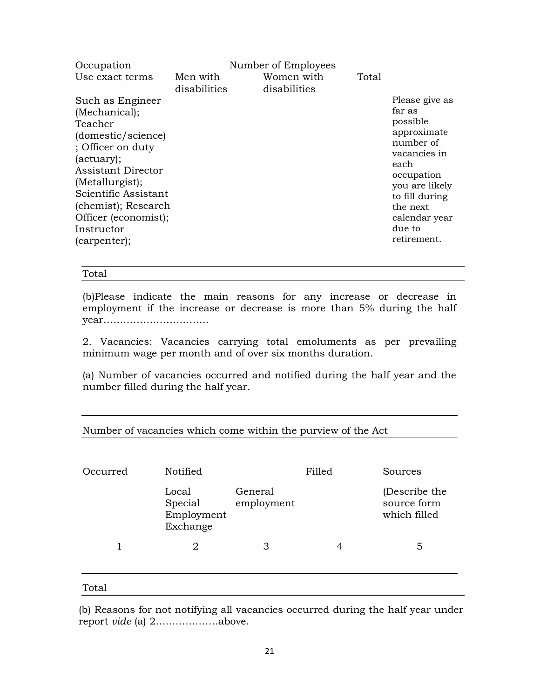| Women with<br>Use exact terms<br>Men with<br>Total<br>disabilities<br>disabilities<br>Please give as<br>Such as Engineer<br>far as<br>(Mechanical);<br>possible<br>Teacher<br>approximate<br>(domestic/science)<br>number of<br>; Officer on duty<br>vacancies in<br>(actuary);<br>each |  |
|-----------------------------------------------------------------------------------------------------------------------------------------------------------------------------------------------------------------------------------------------------------------------------------------|--|
|                                                                                                                                                                                                                                                                                         |  |
| Assistant Director<br>occupation<br>(Metallurgist);<br>you are likely<br>Scientific Assistant<br>to fill during<br>(chemist); Research<br>the next<br>Officer (economist);<br>calendar year<br>due to<br>Instructor<br>retirement.<br>(carpenter);                                      |  |

#### Total

(b)Please indicate the main reasons for any increase or decrease in employment if the increase or decrease is more than 5% during the half year…………………………..

2. Vacancies: Vacancies carrying total emoluments as per prevailing minimum wage per month and of over six months duration.

(a) Number of vacancies occurred and notified during the half year and the number filled during the half year.

| Occurred | <b>Notified</b>                            |                       | Filled | Sources                                      |
|----------|--------------------------------------------|-----------------------|--------|----------------------------------------------|
|          | Local<br>Special<br>Employment<br>Exchange | General<br>employment |        | (Describe the<br>source form<br>which filled |
|          | $\overline{2}$                             | 3                     | 4      | 5                                            |
| Total    |                                            |                       |        |                                              |

(b) Reasons for not notifying all vacancies occurred during the half year under report vide (a) 2……………….above.

# Number of vacancies which come within the purview of the Act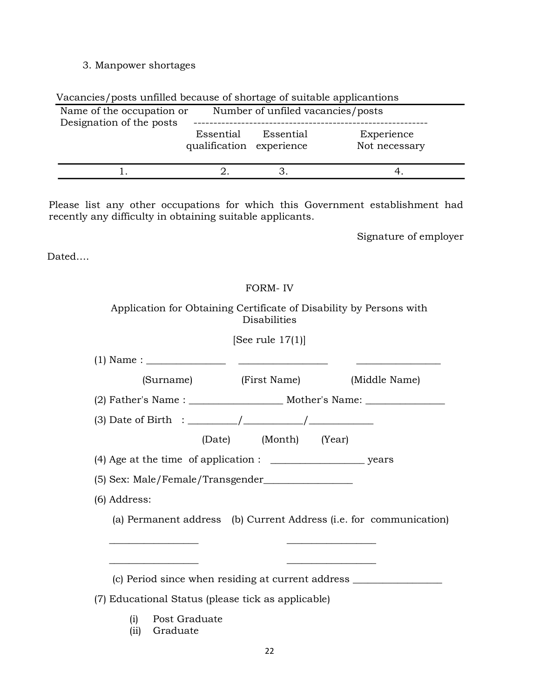# 3. Manpower shortages

|  | Vacancies/posts unfilled because of shortage of suitable applicantions |
|--|------------------------------------------------------------------------|
|  |                                                                        |

| Name of the occupation or<br>Designation of the posts |                                       |           | Number of unfiled vacancies/posts |
|-------------------------------------------------------|---------------------------------------|-----------|-----------------------------------|
|                                                       | Essential<br>qualification experience | Essential | Experience<br>Not necessary       |
|                                                       |                                       |           |                                   |

Please list any other occupations for which this Government establishment had recently any difficulty in obtaining suitable applicants.

Signature of employer

Dated….

# FORM- IV

# Application for Obtaining Certificate of Disability by Persons with Disabilities

[See rule 17(1)]

| (Surname) (First Name)                                                           |                       | (Middle Name)                                                      |  |  |  |  |
|----------------------------------------------------------------------------------|-----------------------|--------------------------------------------------------------------|--|--|--|--|
| (2) Father's Name : __________________________ Mother's Name: __________________ |                       |                                                                    |  |  |  |  |
|                                                                                  |                       |                                                                    |  |  |  |  |
|                                                                                  | (Date) (Month) (Year) |                                                                    |  |  |  |  |
|                                                                                  |                       |                                                                    |  |  |  |  |
|                                                                                  |                       |                                                                    |  |  |  |  |
| (6) Address:                                                                     |                       |                                                                    |  |  |  |  |
|                                                                                  |                       | (a) Permanent address (b) Current Address (i.e. for communication) |  |  |  |  |
|                                                                                  |                       |                                                                    |  |  |  |  |
|                                                                                  |                       |                                                                    |  |  |  |  |
| (c) Period since when residing at current address ______________________________ |                       |                                                                    |  |  |  |  |
| (7) Educational Status (please tick as applicable)                               |                       |                                                                    |  |  |  |  |

- (i) Post Graduate
- (ii) Graduate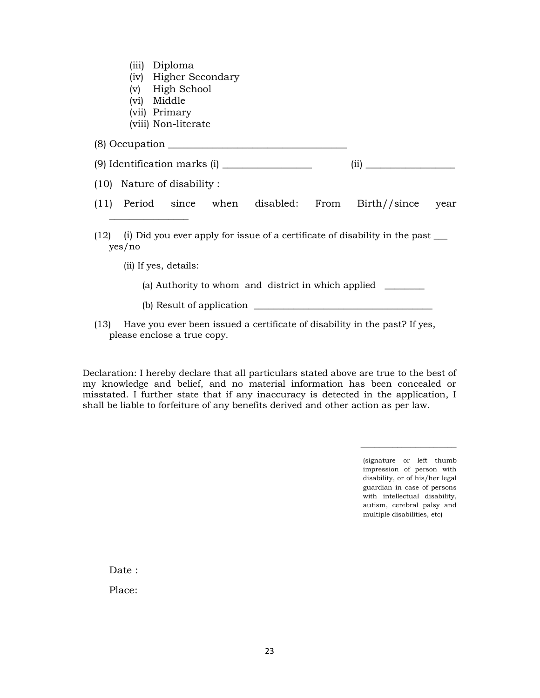| (iii) | Diploma |
|-------|---------|
|-------|---------|

- (iv) Higher Secondary
- (v) High School
- (vi) Middle
- (vii) Primary
- (viii) Non-literate

(8) Occupation \_\_\_\_\_\_\_\_\_\_\_\_\_\_\_\_\_\_\_\_\_\_\_\_\_\_\_\_\_\_\_\_\_\_\_\_

| (9) Identification marks (i) |  |
|------------------------------|--|
|------------------------------|--|

(10) Nature of disability :

 $\overline{\phantom{a}}$  , where  $\overline{\phantom{a}}$  , where  $\overline{\phantom{a}}$ 

- (11) Period since when disabled: From Birth//since year
- (12) (i) Did you ever apply for issue of a certificate of disability in the past \_\_\_ yes/no
	- (ii) If yes, details:
		- (a) Authority to whom and district in which applied \_\_\_\_\_\_\_\_
		- (b) Result of application \_\_\_\_\_\_\_\_\_\_\_\_\_\_\_\_\_\_\_\_\_\_\_\_\_\_\_\_\_\_\_\_\_\_\_\_
- (13) Have you ever been issued a certificate of disability in the past? If yes, please enclose a true copy.

Declaration: I hereby declare that all particulars stated above are true to the best of my knowledge and belief, and no material information has been concealed or misstated. I further state that if any inaccuracy is detected in the application, I shall be liable to forfeiture of any benefits derived and other action as per law.

> (signature or left thumb impression of person with disability, or of his/her legal guardian in case of persons with intellectual disability, autism, cerebral palsy and multiple disabilities, etc)

\_\_\_\_\_\_\_\_\_\_\_\_\_\_\_\_\_\_\_\_\_

Date :

Place: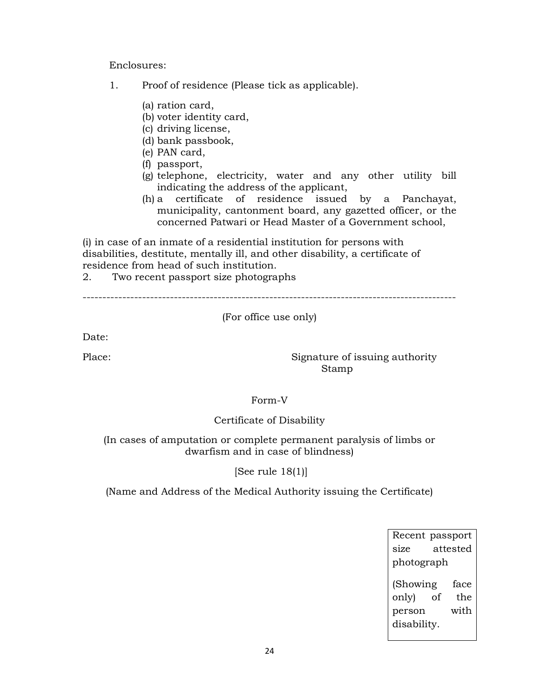Enclosures:

- 1. Proof of residence (Please tick as applicable).
	- (a) ration card,
	- (b) voter identity card,
	- (c) driving license,
	- (d) bank passbook,
	- (e) PAN card,
	- (f) passport,
	- (g) telephone, electricity, water and any other utility bill indicating the address of the applicant,
	- (h) a certificate of residence issued by a Panchayat, municipality, cantonment board, any gazetted officer, or the concerned Patwari or Head Master of a Government school,

(i) in case of an inmate of a residential institution for persons with disabilities, destitute, mentally ill, and other disability, a certificate of residence from head of such institution.

2. Two recent passport size photographs

----------------------------------------------------------------------------------------------

# (For office use only)

Date:

Place: Signature of issuing authority Stamp

#### Form-V

# Certificate of Disability

(In cases of amputation or complete permanent paralysis of limbs or dwarfism and in case of blindness)

[See rule 18(1)]

(Name and Address of the Medical Authority issuing the Certificate)

Recent passport size attested photograph (Showing face only) of the person with disability.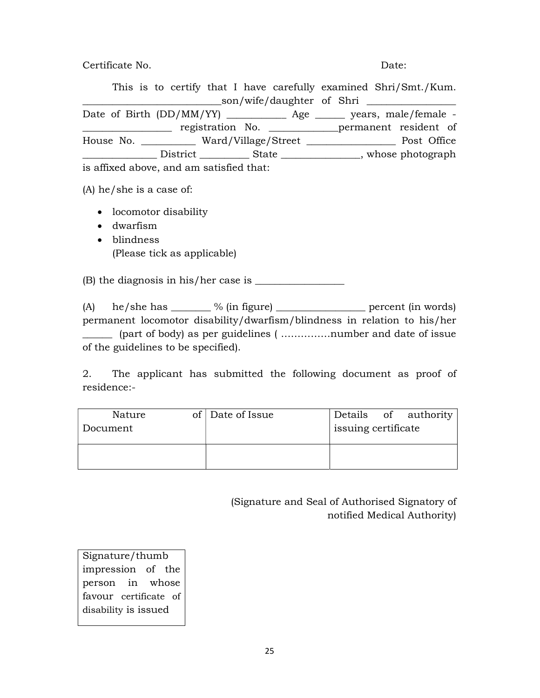Certificate No. Date:

This is to certify that I have carefully examined Shri/Smt./Kum. \_\_\_\_\_\_\_\_\_\_\_\_\_\_\_\_\_\_\_\_\_\_\_\_\_\_\_\_son/wife/daughter of Shri \_\_\_\_\_\_\_\_\_\_\_\_\_\_\_\_\_\_ Date of Birth (DD/MM/YY) \_\_\_\_\_\_\_\_\_\_\_\_\_ Age \_\_\_\_\_\_\_ years, male/female -\_\_\_\_\_\_\_\_\_\_\_\_\_\_\_\_\_\_ registration No. \_\_\_\_\_\_\_\_\_\_\_\_\_\_permanent resident of House No. \_\_\_\_\_\_\_\_\_\_\_ Ward/Village/Street \_\_\_\_\_\_\_\_\_\_\_\_\_\_\_\_\_\_ Post Office \_\_\_\_\_\_\_\_\_\_\_\_\_\_\_ District \_\_\_\_\_\_\_\_\_\_ State \_\_\_\_\_\_\_\_\_\_\_\_\_\_\_\_, whose photograph

is affixed above, and am satisfied that:

(A) he/she is a case of:

- locomotor disability
- dwarfism
- blindness (Please tick as applicable)

 $(B)$  the diagnosis in his/her case is  $\frac{1}{1}$ 

(A) he/she has  $\frac{1}{2}$  % (in figure)  $\frac{1}{2}$  percent (in words) permanent locomotor disability/dwarfism/blindness in relation to his/her \_\_\_\_\_\_ (part of body) as per guidelines ( ……………number and date of issue of the guidelines to be specified).

2. The applicant has submitted the following document as proof of residence:-

| Nature   | of Date of Issue |                     | Details of authority |
|----------|------------------|---------------------|----------------------|
| Document |                  | issuing certificate |                      |
|          |                  |                     |                      |
|          |                  |                     |                      |
|          |                  |                     |                      |

(Signature and Seal of Authorised Signatory of notified Medical Authority)

Signature/thumb impression of the person in whose favour certificate of disability is issued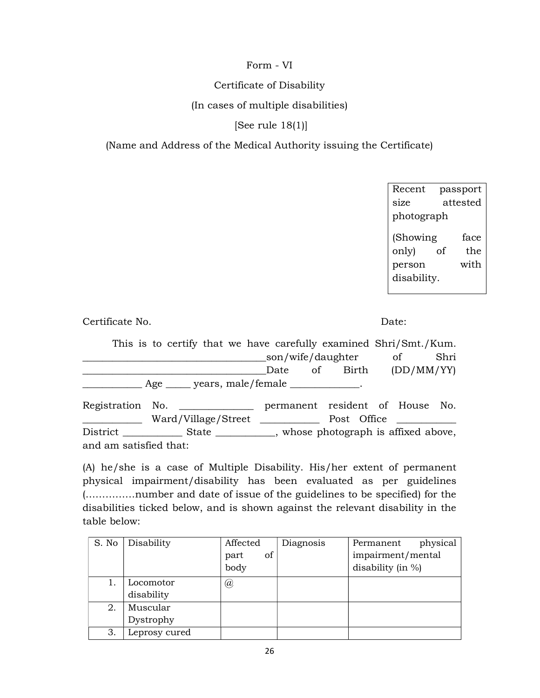# Form - VI

### Certificate of Disability

### (In cases of multiple disabilities)

# [See rule 18(1)]

# (Name and Address of the Medical Authority issuing the Certificate)

| Recent      |          | passport |  |  |  |
|-------------|----------|----------|--|--|--|
| size        | attested |          |  |  |  |
| photograph  |          |          |  |  |  |
| (Showing    |          | face     |  |  |  |
| only)       | of       | the      |  |  |  |
| person      |          | with     |  |  |  |
| disability. |          |          |  |  |  |
|             |          |          |  |  |  |

Certificate No. Date:

This is to certify that we have carefully examined Shri/Smt./Kum. \_\_\_\_\_\_\_\_\_\_\_\_\_\_\_\_\_\_\_\_\_\_\_\_\_\_\_\_\_\_\_\_\_\_\_\_\_son/wife/daughter of Shri \_\_\_\_\_\_\_\_\_\_\_\_\_\_\_\_\_\_\_\_\_\_\_\_\_\_\_\_\_\_\_\_\_\_\_\_\_Date of Birth (DD/MM/YY) \_\_\_\_\_\_\_\_\_\_\_\_ Age \_\_\_\_\_ years, male/female \_\_\_\_\_\_\_\_\_\_\_\_\_\_. Registration No. \_\_\_\_\_\_\_\_\_\_\_\_\_\_\_ permanent resident of House No. \_\_\_\_\_\_\_\_\_\_\_\_ Ward/Village/Street \_\_\_\_\_\_\_\_\_\_\_\_ Post Office \_\_\_\_\_\_\_\_\_\_\_\_ District \_\_\_\_\_\_\_\_\_\_\_\_\_\_ State \_\_\_\_\_\_\_\_\_\_\_, whose photograph is affixed above, and am satisfied that:

(A) he/she is a case of Multiple Disability. His/her extent of permanent physical impairment/disability has been evaluated as per guidelines (……………number and date of issue of the guidelines to be specified) for the disabilities ticked below, and is shown against the relevant disability in the table below:

| S. No | Disability    | Affected   | Diagnosis | physical<br>Permanent |
|-------|---------------|------------|-----------|-----------------------|
|       |               | of<br>part |           | impairment/mental     |
|       |               | body       |           | disability (in $\%$ ) |
|       | Locomotor     | @          |           |                       |
|       | disability    |            |           |                       |
| 2.    | Muscular      |            |           |                       |
|       | Dystrophy     |            |           |                       |
| З.    | Leprosy cured |            |           |                       |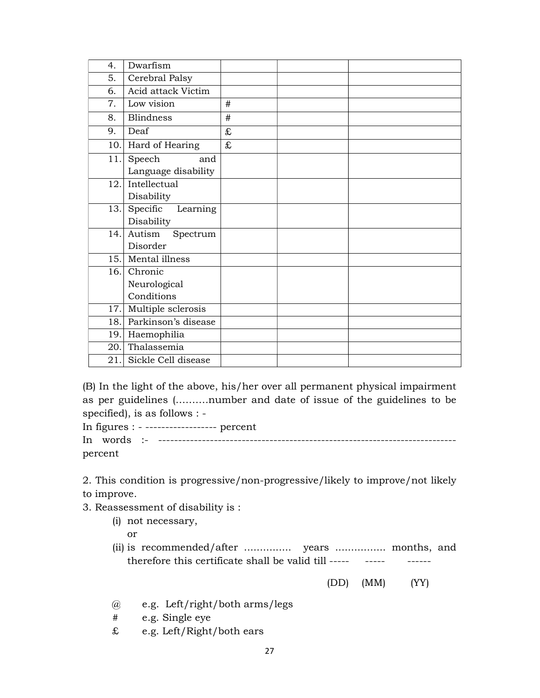| 4.   | Dwarfism            |           |  |
|------|---------------------|-----------|--|
| 5.   | Cerebral Palsy      |           |  |
| 6.   | Acid attack Victim  |           |  |
| 7.   | Low vision          | #         |  |
| 8.   | <b>Blindness</b>    | #         |  |
| 9.   | Deaf                | £         |  |
| 10.  | Hard of Hearing     | $\pounds$ |  |
| 11.  | Speech<br>and       |           |  |
|      | Language disability |           |  |
| 12.1 | Intellectual        |           |  |
|      | Disability          |           |  |
| 13.  | Specific Learning   |           |  |
|      | Disability          |           |  |
| 14.  | Autism Spectrum     |           |  |
|      | Disorder            |           |  |
| 15.  | Mental illness      |           |  |
| 16.  | Chronic             |           |  |
|      | Neurological        |           |  |
|      | Conditions          |           |  |
| 17.  | Multiple sclerosis  |           |  |
| 18.  | Parkinson's disease |           |  |
| 19.  | Haemophilia         |           |  |
| 20.1 | Thalassemia         |           |  |
| 21.  | Sickle Cell disease |           |  |

(B) In the light of the above, his/her over all permanent physical impairment as per guidelines (……….number and date of issue of the guidelines to be specified), is as follows : -

In figures : - ------------------ percent In words :- -------------------------------------------------------------------------- percent

2. This condition is progressive/non-progressive/likely to improve/not likely to improve.

3. Reassessment of disability is :

(i) not necessary,

or

(ii) is recommended/after ............... years ................ months, and therefore this certificate shall be valid till ----- ------ ------

(DD) (MM) (YY)

- @ e.g. Left/right/both arms/legs
- # e.g. Single eye
- £ e.g. Left/Right/both ears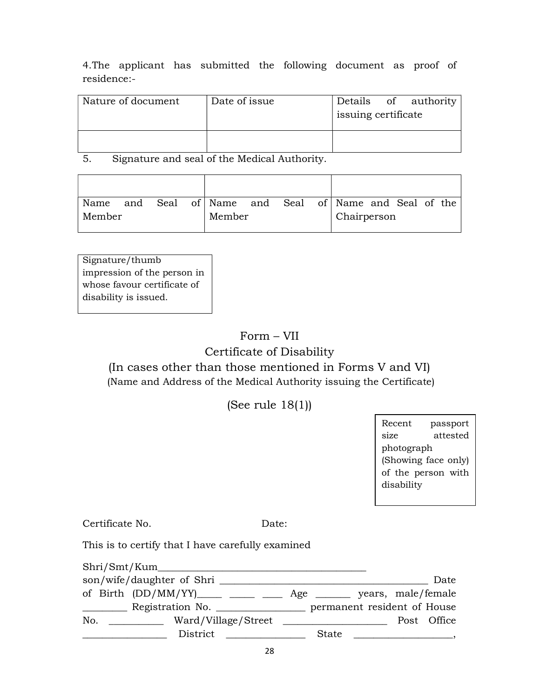4.The applicant has submitted the following document as proof of residence:-

| Nature of document | Date of issue | Details of authority<br>issuing certificate |  |  |  |
|--------------------|---------------|---------------------------------------------|--|--|--|
|                    |               |                                             |  |  |  |

5. Signature and seal of the Medical Authority.

| Name and Seal of Name and Seal of Name and Seal of the |  |  |        |  |             |  |  |  |
|--------------------------------------------------------|--|--|--------|--|-------------|--|--|--|
| Member                                                 |  |  | Member |  | Chairperson |  |  |  |

Signature/thumb impression of the person in whose favour certificate of disability is issued.

# Form – VII

# Certificate of Disability

# (In cases other than those mentioned in Forms V and VI) (Name and Address of the Medical Authority issuing the Certificate)

(See rule 18(1))

Recent passport size attested photograph (Showing face only) of the person with disability

Certificate No. Date:

This is to certify that I have carefully examined

|                                      | son/wife/daughter of Shri |                                                                       | Date |
|--------------------------------------|---------------------------|-----------------------------------------------------------------------|------|
|                                      |                           | of Birth (DD/MM/YY) _____ ____ ____ Age ______ years, male/female     |      |
| <u> Listen van die Stadt van die</u> |                           | Registration No. ________________________ permanent resident of House |      |
| No.                                  | Ward/Village/Street       | Post Office                                                           |      |
|                                      |                           | State<br><u> 1980 - Jan Barbara Barbara, manazarta da </u>            |      |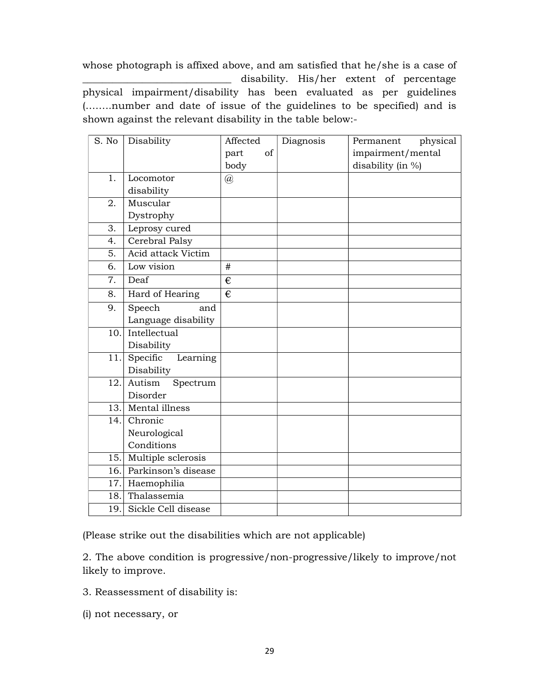whose photograph is affixed above, and am satisfied that he/she is a case of disability. His/her extent of percentage physical impairment/disability has been evaluated as per guidelines (……..number and date of issue of the guidelines to be specified) and is shown against the relevant disability in the table below:-

| S. No | Disability              | Affected<br>of<br>part<br>body | Diagnosis | physical<br>Permanent<br>impairment/mental<br>disability (in %) |
|-------|-------------------------|--------------------------------|-----------|-----------------------------------------------------------------|
| 1.    | Locomotor               | @                              |           |                                                                 |
|       | disability              |                                |           |                                                                 |
| 2.    | Muscular                |                                |           |                                                                 |
|       | Dystrophy               |                                |           |                                                                 |
| 3.    | Leprosy cured           |                                |           |                                                                 |
| 4.    | Cerebral Palsy          |                                |           |                                                                 |
| 5.    | Acid attack Victim      |                                |           |                                                                 |
| 6.    | Low vision              | #                              |           |                                                                 |
| 7.    | Deaf                    | €                              |           |                                                                 |
| 8.    | Hard of Hearing         | €                              |           |                                                                 |
| 9.    | Speech<br>and           |                                |           |                                                                 |
|       | Language disability     |                                |           |                                                                 |
| 10.   | Intellectual            |                                |           |                                                                 |
|       | Disability              |                                |           |                                                                 |
| 11.   | Specific<br>Learning    |                                |           |                                                                 |
|       | Disability              |                                |           |                                                                 |
| 12.   | Autism<br>Spectrum      |                                |           |                                                                 |
|       | Disorder                |                                |           |                                                                 |
| 13.   | Mental illness          |                                |           |                                                                 |
| 14.   | Chronic                 |                                |           |                                                                 |
|       | Neurological            |                                |           |                                                                 |
|       | Conditions              |                                |           |                                                                 |
| 15.   | Multiple sclerosis      |                                |           |                                                                 |
| 16.   | Parkinson's disease     |                                |           |                                                                 |
| 17.   | Haemophilia             |                                |           |                                                                 |
| 18.   | Thalassemia             |                                |           |                                                                 |
|       | 19. Sickle Cell disease |                                |           |                                                                 |

(Please strike out the disabilities which are not applicable)

2. The above condition is progressive/non-progressive/likely to improve/not likely to improve.

3. Reassessment of disability is:

(i) not necessary, or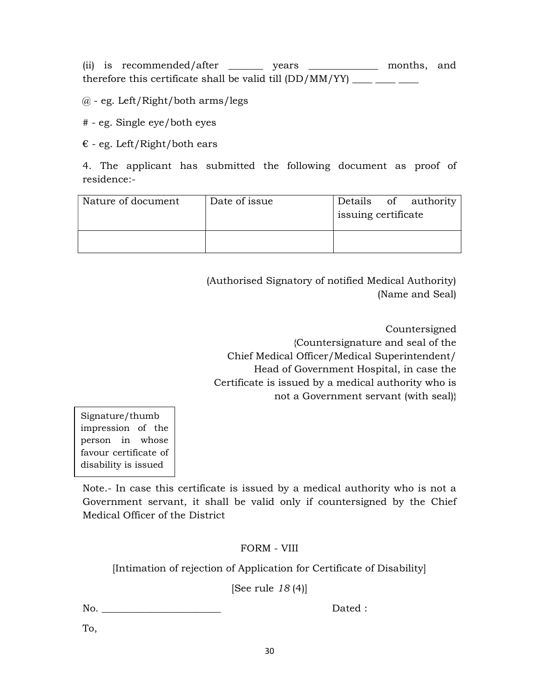(ii) is recommended/after \_\_\_\_\_\_\_ years \_\_\_\_\_\_\_\_\_\_\_\_\_ months, and therefore this certificate shall be valid till  $(DD/MM/YY)$  \_\_\_\_ \_\_\_\_

 $@$  - eg. Left/Right/both arms/legs

# - eg. Single eye/both eyes

 $\epsilon$  - eg. Left/Right/both ears

4. The applicant has submitted the following document as proof of residence:-

| Nature of document | Date of issue | issuing certificate | Details of authority |
|--------------------|---------------|---------------------|----------------------|
|                    |               |                     |                      |

(Authorised Signatory of notified Medical Authority) (Name and Seal)

Countersigned {Countersignature and seal of the Chief Medical Officer/Medical Superintendent/ Head of Government Hospital, in case the Certificate is issued by a medical authority who is not a Government servant (with seal)}

Signature/thumb impression of the person in whose favour certificate of disability is issued

Note.- In case this certificate is issued by a medical authority who is not a Government servant, it shall be valid only if countersigned by the Chief Medical Officer of the District

# FORM - VIII

[Intimation of rejection of Application for Certificate of Disability]

[See rule 18 (4)]

No. Dated :

To,